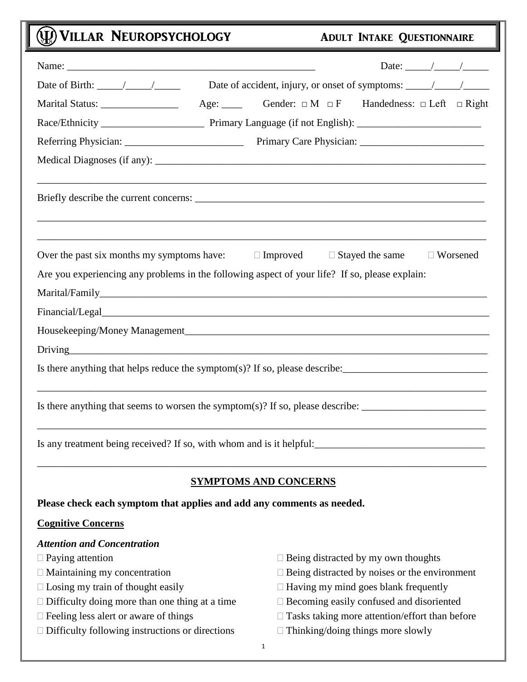# (U) VILLAR NEUROPSYCHOLOGY ADULT INTAKE QUESTIONNAIRE

| Date of Birth: $\frac{\sqrt{2}}{2}$                                                                                                          |                                                                   |                        |                 |
|----------------------------------------------------------------------------------------------------------------------------------------------|-------------------------------------------------------------------|------------------------|-----------------|
| Marital Status: __________________                                                                                                           | Age: Gender: $\Box M \Box F$ Handedness: $\Box$ Left $\Box$ Right |                        |                 |
|                                                                                                                                              |                                                                   |                        |                 |
|                                                                                                                                              |                                                                   |                        |                 |
|                                                                                                                                              |                                                                   |                        |                 |
|                                                                                                                                              |                                                                   |                        |                 |
| Over the past six months my symptoms have:<br>Are you experiencing any problems in the following aspect of your life? If so, please explain: | $\Box$ Improved                                                   | $\Box$ Stayed the same | $\Box$ Worsened |
|                                                                                                                                              |                                                                   |                        |                 |
|                                                                                                                                              |                                                                   |                        |                 |
|                                                                                                                                              |                                                                   |                        |                 |
|                                                                                                                                              |                                                                   |                        |                 |
| Is there anything that helps reduce the symptom(s)? If so, please describe: $\frac{1}{\sqrt{1-\frac{1}{n}}}\left  \frac{1}{n} \right $       |                                                                   |                        |                 |
| Is there anything that seems to worsen the symptom(s)? If so, please describe: _______________________________                               |                                                                   |                        |                 |
| Is any treatment being received? If so, with whom and is it helpful:                                                                         |                                                                   |                        |                 |

## **SYMPTOMS AND CONCERNS**

\_\_\_\_\_\_\_\_\_\_\_\_\_\_\_\_\_\_\_\_\_\_\_\_\_\_\_\_\_\_\_\_\_\_\_\_\_\_\_\_\_\_\_\_\_\_\_\_\_\_\_\_\_\_\_\_\_\_\_\_\_\_\_\_\_\_\_\_\_\_\_\_\_\_\_\_\_\_\_\_\_\_\_\_\_\_\_

## **Please check each symptom that applies and add any comments as needed.**

## **Cognitive Concerns**

## *Attention and Concentration*

- 
- 
- 
- 
- 
- $\Box$  Difficulty following instructions or directions  $\Box$  Thinking/doing things more slowly
- $\Box$  Paying attention  $\Box$  Being distracted by my own thoughts
- $\Box$  Maintaining my concentration  $\Box$  Being distracted by noises or the environment
- $\Box$  Losing my train of thought easily  $\Box$  Having my mind goes blank frequently
- $\Box$  Difficulty doing more than one thing at a time  $\Box$  Becoming easily confused and disoriented
- $\Box$  Feeling less alert or aware of things  $\Box$  Tasks taking more attention/effort than before
	-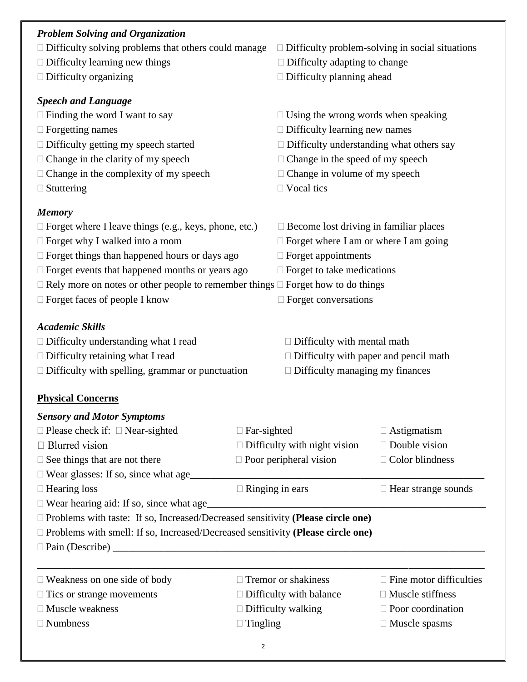## *Problem Solving and Organization*  $\Box$  Difficulty solving problems that others could manage  $\Box$  Difficulty problem-solving in social situations  $\Box$  Difficulty learning new things  $\Box$  Difficulty adapting to change  $\Box$  Difficulty organizing  $\Box$  Difficulty planning ahead *Speech and Language*  $\Box$  Finding the word I want to say  $\Box$  Using the wrong words when speaking  $\Box$  Forgetting names  $\Box$  Difficulty learning new names  $\Box$  Difficulty getting my speech started  $\Box$  Difficulty understanding what others say  $\Box$  Change in the clarity of my speech  $\Box$  Change in the speed of my speech  $\Box$  Change in the complexity of my speech  $\Box$  Change in volume of my speech  $\Box$  Stuttering  $\Box$  Vocal tics *Memory*  $\Box$  Forget where I leave things (e.g., keys, phone, etc.)  $\Box$  Become lost driving in familiar places  $\Box$  Forget why I walked into a room  $\Box$  Forget where I am or where I am going  $\Box$  Forget things than happened hours or days ago  $\Box$  Forget appointments  $\Box$  Forget events that happened months or years ago  $\Box$  Forget to take medications  $\Box$  Rely more on notes or other people to remember things  $\Box$  Forget how to do things  $\Box$  Forget faces of people I know  $\Box$  Forget conversations *Academic Skills*  $\Box$  Difficulty understanding what I read  $\Box$  Difficulty with mental math  $\Box$  Difficulty retaining what I read  $\Box$  Difficulty with paper and pencil math  $\Box$  Difficulty with spelling, grammar or punctuation  $\Box$  Difficulty managing my finances **Physical Concerns** *Sensory and Motor Symptoms*  $\Box$  Please check if:  $\Box$  Near-sighted  $\Box$  Far-sighted  $\Box$  Astigmatism  $\Box$  Blurred vision  $\Box$  Difficulty with night vision  $\Box$  Double vision  $\Box$  See things that are not there  $\Box$  Poor peripheral vision  $\Box$  Color blindness  $\Box$  Wear glasses: If so, since what age  $\Box$  Hearing loss  $\Box$  Ringing in ears  $\Box$  Hear strange sounds  $\Box$  Wear hearing aid: If so, since what age Problems with taste: If so, Increased/Decreased sensitivity **(Please circle one)** Problems with smell: If so, Increased/Decreased sensitivity **(Please circle one)**  $\square$  Pain (Describe) \_\_\_\_\_\_\_\_\_\_\_\_\_\_\_\_\_\_\_\_\_\_\_\_\_\_\_\_\_\_\_\_\_\_\_\_\_\_\_\_\_\_\_\_\_\_\_\_\_\_\_\_\_\_\_\_\_\_\_\_\_\_\_\_\_  $\Box$  Weakness on one side of body  $\Box$  Tremor or shakiness  $\Box$  Fine motor difficulties  $\Box$  Tics or strange movements  $\Box$  Difficulty with balance  $\Box$  Muscle stiffness  $\Box$  Muscle weakness  $\Box$  Difficulty walking  $\Box$  Poor coordination

- $\square$  Numbness  $\square$  Tingling  $\square$  Muscle spasms
	- $\overline{2}$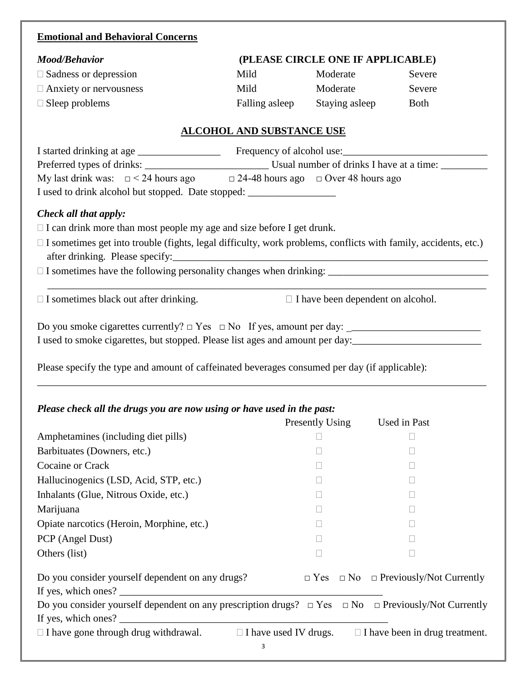## **Emotional and Behavioral Concerns**

| <b>Mood/Behavior</b>                                                                                                  |                                                                                          | (PLEASE CIRCLE ONE IF APPLICABLE)        |             |  |  |
|-----------------------------------------------------------------------------------------------------------------------|------------------------------------------------------------------------------------------|------------------------------------------|-------------|--|--|
| $\Box$ Sadness or depression                                                                                          | Mild                                                                                     | Moderate                                 | Severe      |  |  |
| $\Box$ Anxiety or nervousness                                                                                         | Mild                                                                                     | Moderate                                 | Severe      |  |  |
| $\Box$ Sleep problems                                                                                                 | Falling asleep                                                                           | Staying asleep                           | <b>Both</b> |  |  |
|                                                                                                                       | <b>ALCOHOL AND SUBSTANCE USE</b>                                                         |                                          |             |  |  |
|                                                                                                                       |                                                                                          |                                          |             |  |  |
|                                                                                                                       |                                                                                          |                                          |             |  |  |
|                                                                                                                       | My last drink was: $\Box$ < 24 hours ago $\Box$ 24-48 hours ago $\Box$ Over 48 hours ago |                                          |             |  |  |
| I used to drink alcohol but stopped. Date stopped: _____________________________                                      |                                                                                          |                                          |             |  |  |
| Check all that apply:                                                                                                 |                                                                                          |                                          |             |  |  |
| $\Box$ I can drink more than most people my age and size before I get drunk.                                          |                                                                                          |                                          |             |  |  |
| $\Box$ I sometimes get into trouble (fights, legal difficulty, work problems, conflicts with family, accidents, etc.) |                                                                                          |                                          |             |  |  |
|                                                                                                                       |                                                                                          |                                          |             |  |  |
| $\Box$ I sometimes black out after drinking.                                                                          |                                                                                          | $\Box$ I have been dependent on alcohol. |             |  |  |
| I used to smoke cigarettes, but stopped. Please list ages and amount per day:                                         |                                                                                          |                                          |             |  |  |

Please specify the type and amount of caffeinated beverages consumed per day (if applicable):

## *Please check all the drugs you are now using or have used in the past:*

|                                                                                                                            | Presently Using | Used in Past                                                       |
|----------------------------------------------------------------------------------------------------------------------------|-----------------|--------------------------------------------------------------------|
| Amphetamines (including diet pills)                                                                                        |                 |                                                                    |
| Barbituates (Downers, etc.)                                                                                                |                 |                                                                    |
| Cocaine or Crack                                                                                                           |                 |                                                                    |
| Hallucinogenics (LSD, Acid, STP, etc.)                                                                                     |                 |                                                                    |
| Inhalants (Glue, Nitrous Oxide, etc.)                                                                                      | $\Box$          | Н                                                                  |
| Marijuana                                                                                                                  |                 |                                                                    |
| Opiate narcotics (Heroin, Morphine, etc.)                                                                                  |                 |                                                                    |
| PCP (Angel Dust)                                                                                                           |                 |                                                                    |
| Others (list)                                                                                                              |                 |                                                                    |
| Do you consider yourself dependent on any drugs?<br>If yes, which ones? $\frac{1}{\sqrt{1-\frac{1}{2}} \cdot \frac{1}{2}}$ |                 | $\Box$ Yes $\Box$ No $\Box$ Previously/Not Currently               |
| Do you consider yourself dependent on any prescription drugs? $\Box$ Yes $\Box$ No $\Box$ Previously/Not Currently         |                 |                                                                    |
| If yes, which ones? $\_\_$                                                                                                 |                 |                                                                    |
| $\Box$ I have gone through drug withdrawal.                                                                                |                 | $\Box$ I have used IV drugs. $\Box$ I have been in drug treatment. |
| 3                                                                                                                          |                 |                                                                    |

\_\_\_\_\_\_\_\_\_\_\_\_\_\_\_\_\_\_\_\_\_\_\_\_\_\_\_\_\_\_\_\_\_\_\_\_\_\_\_\_\_\_\_\_\_\_\_\_\_\_\_\_\_\_\_\_\_\_\_\_\_\_\_\_\_\_\_\_\_\_\_\_\_\_\_\_\_\_\_\_\_\_\_\_\_\_\_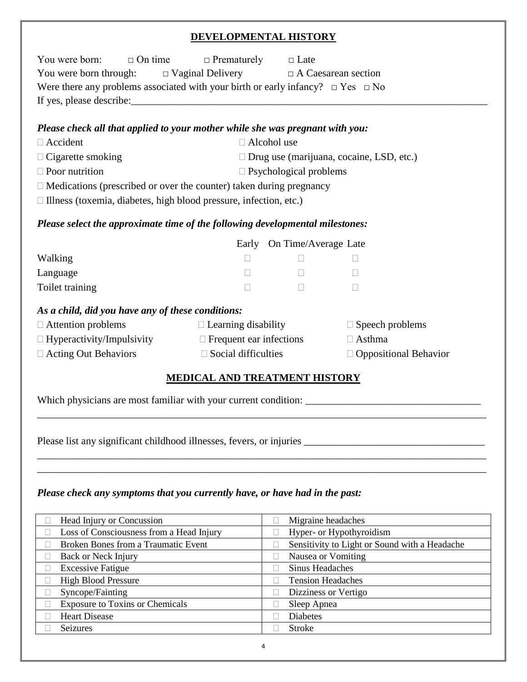## **DEVELOPMENTAL HISTORY**

| $\Box$ On time<br>You were born:                                                | $\Box$ Prematurely $\Box$ Late                                                            |                                  |                                                 |  |  |  |
|---------------------------------------------------------------------------------|-------------------------------------------------------------------------------------------|----------------------------------|-------------------------------------------------|--|--|--|
| You were born through: $\square$ Vaginal Delivery $\square$ A Caesarean section |                                                                                           |                                  |                                                 |  |  |  |
|                                                                                 | Were there any problems associated with your birth or early infancy? $\Box$ Yes $\Box$ No |                                  |                                                 |  |  |  |
|                                                                                 |                                                                                           |                                  |                                                 |  |  |  |
|                                                                                 |                                                                                           |                                  |                                                 |  |  |  |
| Please check all that applied to your mother while she was pregnant with you:   |                                                                                           |                                  |                                                 |  |  |  |
| $\Box$ Accident                                                                 | $\Box$ Alcohol use                                                                        |                                  |                                                 |  |  |  |
| $\Box$ Cigarette smoking                                                        |                                                                                           |                                  | $\Box$ Drug use (marijuana, cocaine, LSD, etc.) |  |  |  |
| $\Box$ Poor nutrition                                                           |                                                                                           | $\square$ Psychological problems |                                                 |  |  |  |
| $\Box$ Medications (prescribed or over the counter) taken during pregnancy      |                                                                                           |                                  |                                                 |  |  |  |
| $\Box$ Illness (toxemia, diabetes, high blood pressure, infection, etc.)        |                                                                                           |                                  |                                                 |  |  |  |
| Please select the approximate time of the following developmental milestones:   |                                                                                           |                                  |                                                 |  |  |  |
|                                                                                 |                                                                                           | Early On Time/Average Late       |                                                 |  |  |  |
| Walking                                                                         | $\Box$                                                                                    | $\Box$                           | $\Box$                                          |  |  |  |
| Language                                                                        | $\Box$                                                                                    | $\Box$                           | $\Box$                                          |  |  |  |
| Toilet training                                                                 | П                                                                                         | $\Box$                           | $\Box$                                          |  |  |  |
| As a child, did you have any of these conditions:                               |                                                                                           |                                  |                                                 |  |  |  |
| $\Box$ Attention problems                                                       | $\Box$ Learning disability                                                                |                                  | $\Box$ Speech problems                          |  |  |  |
| $\Box$ Hyperactivity/Impulsivity $\Box$ Frequent ear infections                 | $\Box$ Asthma                                                                             |                                  |                                                 |  |  |  |
| $\Box$ Acting Out Behaviors                                                     | $\Box$ Social difficulties                                                                |                                  | $\Box$ Oppositional Behavior                    |  |  |  |
|                                                                                 | <b>MEDICAL AND TREATMENT HISTORY</b>                                                      |                                  |                                                 |  |  |  |
| Which physicians are most familiar with your current condition:                 |                                                                                           |                                  |                                                 |  |  |  |

Please list any significant childhood illnesses, fevers, or injuries \_\_\_\_\_\_\_\_\_\_\_\_\_\_\_\_\_\_\_\_\_\_\_\_\_\_\_\_\_\_\_\_\_\_\_

## *Please check any symptoms that you currently have, or have had in the past:*

| Head Injury or Concussion                  | Migraine headaches                            |
|--------------------------------------------|-----------------------------------------------|
| Loss of Consciousness from a Head Injury   | Hyper- or Hypothyroidism                      |
| <b>Broken Bones from a Traumatic Event</b> | Sensitivity to Light or Sound with a Headache |
| Back or Neck Injury                        | Nausea or Vomiting                            |
| <b>Excessive Fatigue</b>                   | Sinus Headaches                               |
| <b>High Blood Pressure</b>                 | <b>Tension Headaches</b>                      |
| Syncope/Fainting                           | Dizziness or Vertigo                          |
| <b>Exposure to Toxins or Chemicals</b>     | Sleep Apnea                                   |
| <b>Heart Disease</b>                       | <b>Diabetes</b>                               |
| Seizures                                   | <b>Stroke</b>                                 |

\_\_\_\_\_\_\_\_\_\_\_\_\_\_\_\_\_\_\_\_\_\_\_\_\_\_\_\_\_\_\_\_\_\_\_\_\_\_\_\_\_\_\_\_\_\_\_\_\_\_\_\_\_\_\_\_\_\_\_\_\_\_\_\_\_\_\_\_\_\_\_\_\_\_\_\_\_\_\_\_\_\_\_\_\_\_\_

\_\_\_\_\_\_\_\_\_\_\_\_\_\_\_\_\_\_\_\_\_\_\_\_\_\_\_\_\_\_\_\_\_\_\_\_\_\_\_\_\_\_\_\_\_\_\_\_\_\_\_\_\_\_\_\_\_\_\_\_\_\_\_\_\_\_\_\_\_\_\_\_\_\_\_\_\_\_\_\_\_\_\_\_\_\_\_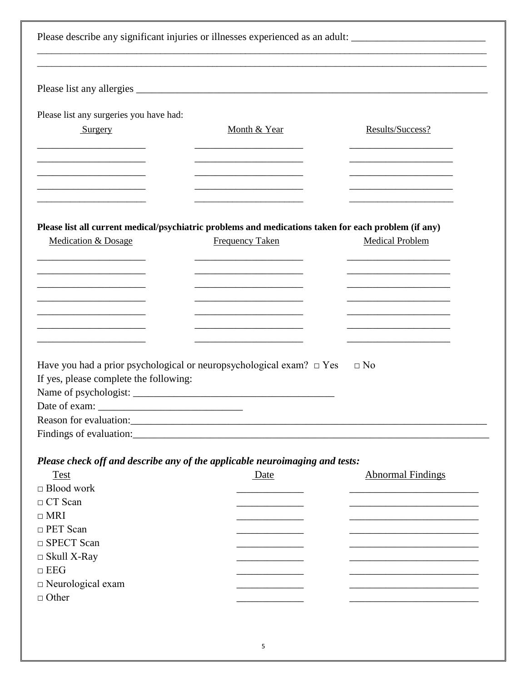|                                         | Please describe any significant injuries or illnesses experienced as an adult: _______________________________ |                          |
|-----------------------------------------|----------------------------------------------------------------------------------------------------------------|--------------------------|
|                                         |                                                                                                                |                          |
| Please list any surgeries you have had: |                                                                                                                |                          |
| Surgery                                 | Month & Year                                                                                                   | Results/Success?         |
|                                         |                                                                                                                |                          |
|                                         |                                                                                                                |                          |
|                                         | Please list all current medical/psychiatric problems and medications taken for each problem (if any)           |                          |
| Medication & Dosage                     | <b>Frequency Taken</b>                                                                                         | <b>Medical Problem</b>   |
|                                         |                                                                                                                |                          |
|                                         |                                                                                                                |                          |
|                                         |                                                                                                                |                          |
|                                         |                                                                                                                |                          |
|                                         |                                                                                                                |                          |
|                                         |                                                                                                                |                          |
|                                         |                                                                                                                |                          |
|                                         | Have you had a prior psychological or neuropsychological exam? $\Box$ Yes                                      | $\Box$ No                |
| If yes, please complete the following:  |                                                                                                                |                          |
|                                         |                                                                                                                |                          |
| Date of exam:                           |                                                                                                                |                          |
|                                         |                                                                                                                |                          |
|                                         |                                                                                                                |                          |
|                                         |                                                                                                                |                          |
|                                         | Please check off and describe any of the applicable neuroimaging and tests:                                    |                          |
| <b>Test</b>                             | Date                                                                                                           | <b>Abnormal Findings</b> |
| $\Box$ Blood work                       |                                                                                                                |                          |
| $\Box$ CT Scan                          |                                                                                                                |                          |
| $\Box$ MRI                              |                                                                                                                |                          |
| $\Box$ PET Scan                         |                                                                                                                |                          |
| $\Box$ SPECT Scan                       |                                                                                                                |                          |
| $\Box$ Skull X-Ray                      |                                                                                                                |                          |
| $\Box$ EEG                              |                                                                                                                |                          |
| $\Box$ Neurological exam                |                                                                                                                |                          |
| $\Box$ Other                            |                                                                                                                |                          |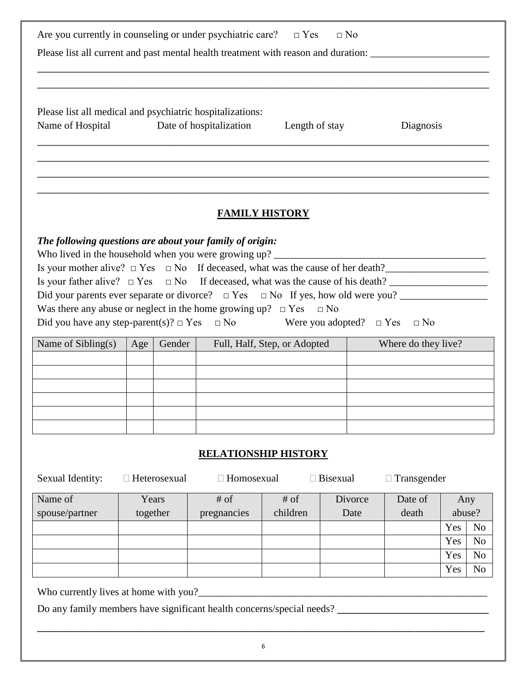| Are you currently in counseling or under psychiatric care? $\Box$ Yes $\Box$ No                                                                                                                                                                                                                                                                                                                                                                                                                                              |                             |          |                                                     |                       |         |           |     |                |
|------------------------------------------------------------------------------------------------------------------------------------------------------------------------------------------------------------------------------------------------------------------------------------------------------------------------------------------------------------------------------------------------------------------------------------------------------------------------------------------------------------------------------|-----------------------------|----------|-----------------------------------------------------|-----------------------|---------|-----------|-----|----------------|
| Please list all current and past mental health treatment with reason and duration: ___________________________                                                                                                                                                                                                                                                                                                                                                                                                               |                             |          |                                                     |                       |         |           |     |                |
|                                                                                                                                                                                                                                                                                                                                                                                                                                                                                                                              |                             |          |                                                     |                       |         |           |     |                |
| Please list all medical and psychiatric hospitalizations:<br>Name of Hospital                                                                                                                                                                                                                                                                                                                                                                                                                                                |                             |          | Date of hospitalization                             | Length of stay        |         | Diagnosis |     |                |
|                                                                                                                                                                                                                                                                                                                                                                                                                                                                                                                              |                             |          |                                                     |                       |         |           |     |                |
|                                                                                                                                                                                                                                                                                                                                                                                                                                                                                                                              |                             |          |                                                     | <b>FAMILY HISTORY</b> |         |           |     |                |
| The following questions are about your family of origin:<br>Is your mother alive? $\Box$ Yes $\Box$ No If deceased, what was the cause of her death?<br>Is your father alive? $\Box$ Yes $\Box$ No If deceased, what was the cause of his death?<br>Did your parents ever separate or divorce? $\Box$ Yes $\Box$ No If yes, how old were you?<br>Was there any abuse or neglect in the home growing up? $\Box$ Yes $\Box$ No<br>Did you have any step-parent(s)? $\Box$ Yes $\Box$ No Were you adopted? $\Box$ Yes $\Box$ No |                             |          |                                                     |                       |         |           |     |                |
| Name of Sibling $(s)$                                                                                                                                                                                                                                                                                                                                                                                                                                                                                                        | Age                         | Gender   | Full, Half, Step, or Adopted<br>Where do they live? |                       |         |           |     |                |
|                                                                                                                                                                                                                                                                                                                                                                                                                                                                                                                              |                             |          |                                                     |                       |         |           |     |                |
|                                                                                                                                                                                                                                                                                                                                                                                                                                                                                                                              |                             |          |                                                     |                       |         |           |     |                |
|                                                                                                                                                                                                                                                                                                                                                                                                                                                                                                                              |                             |          |                                                     |                       |         |           |     |                |
|                                                                                                                                                                                                                                                                                                                                                                                                                                                                                                                              |                             |          |                                                     |                       |         |           |     |                |
|                                                                                                                                                                                                                                                                                                                                                                                                                                                                                                                              |                             |          |                                                     |                       |         |           |     |                |
|                                                                                                                                                                                                                                                                                                                                                                                                                                                                                                                              | <b>RELATIONSHIP HISTORY</b> |          |                                                     |                       |         |           |     |                |
| Sexual Identity:<br>$\Box$ Heterosexual<br>$\Box$ Homosexual<br>$\Box$ Bisexual<br>$\Box$ Transgender                                                                                                                                                                                                                                                                                                                                                                                                                        |                             |          |                                                     |                       |         |           |     |                |
| Name of                                                                                                                                                                                                                                                                                                                                                                                                                                                                                                                      |                             | Years    | $#$ of                                              | $#$ of                | Divorce | Date of   |     | Any            |
| spouse/partner                                                                                                                                                                                                                                                                                                                                                                                                                                                                                                               |                             | together | pregnancies                                         | children              | Date    | death     |     | abuse?         |
|                                                                                                                                                                                                                                                                                                                                                                                                                                                                                                                              |                             |          |                                                     |                       |         |           | Yes | N <sub>o</sub> |
|                                                                                                                                                                                                                                                                                                                                                                                                                                                                                                                              |                             |          |                                                     |                       |         |           | Yes | N <sub>o</sub> |
|                                                                                                                                                                                                                                                                                                                                                                                                                                                                                                                              |                             |          |                                                     |                       |         |           | Yes | N <sub>o</sub> |

Who currently lives at home with you?\_\_\_\_\_\_\_\_\_\_\_\_\_\_\_\_\_\_\_\_\_\_\_\_\_\_\_\_\_\_\_\_\_\_\_\_\_\_\_\_\_\_\_\_\_\_\_\_\_\_\_\_\_\_\_\_

Do any family members have significant health concerns/special needs? \_\_\_\_\_\_\_\_\_\_\_\_\_\_\_\_\_\_\_\_\_\_

\_\_\_\_\_\_\_\_\_\_\_\_\_\_\_\_\_\_\_\_\_\_\_\_\_\_\_\_\_\_\_\_\_\_\_\_\_\_\_\_\_\_\_\_\_\_\_\_\_\_\_\_\_\_\_\_\_\_\_\_\_\_\_\_\_

Yes No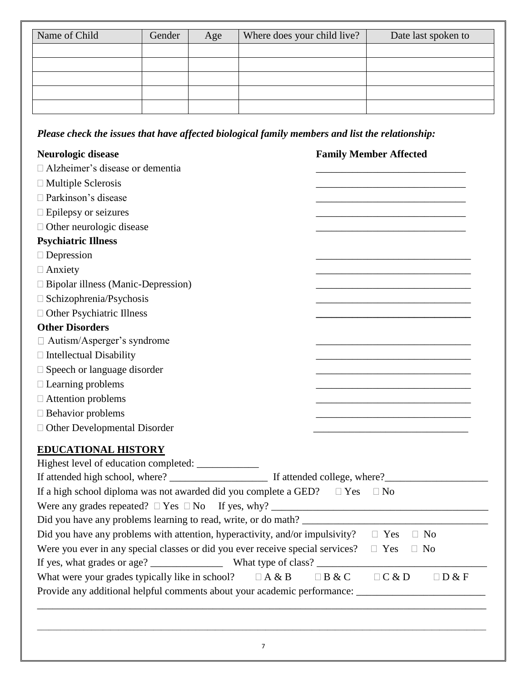| Name of Child | Gender | Age | Where does your child live? | Date last spoken to |
|---------------|--------|-----|-----------------------------|---------------------|
|               |        |     |                             |                     |
|               |        |     |                             |                     |
|               |        |     |                             |                     |
|               |        |     |                             |                     |
|               |        |     |                             |                     |

*Please check the issues that have affected biological family members and list the relationship:*

| <b>Neurologic disease</b>                                                                               | <b>Family Member Affected</b>                                                                                        |
|---------------------------------------------------------------------------------------------------------|----------------------------------------------------------------------------------------------------------------------|
| □ Alzheimer's disease or dementia                                                                       |                                                                                                                      |
| $\Box$ Multiple Sclerosis                                                                               |                                                                                                                      |
| □ Parkinson's disease                                                                                   |                                                                                                                      |
| $\Box$ Epilepsy or seizures                                                                             |                                                                                                                      |
| □ Other neurologic disease                                                                              | <u> 1980 - Johann Barbara, martin da basar a shekara tsa a tsarar 1980 a tsa a tsarar 1980 a tsarar 1980 a tsara</u> |
| <b>Psychiatric Illness</b>                                                                              |                                                                                                                      |
| $\Box$ Depression                                                                                       |                                                                                                                      |
| $\Box$ Anxiety                                                                                          |                                                                                                                      |
| $\Box$ Bipolar illness (Manic-Depression)                                                               |                                                                                                                      |
| $\Box$ Schizophrenia/Psychosis                                                                          |                                                                                                                      |
| □ Other Psychiatric Illness                                                                             |                                                                                                                      |
| <b>Other Disorders</b>                                                                                  |                                                                                                                      |
| $\Box$ Autism/Asperger's syndrome                                                                       |                                                                                                                      |
| $\Box$ Intellectual Disability                                                                          |                                                                                                                      |
| $\square$ Speech or language disorder                                                                   | <u> 1989 - Johann Barbara, martxa alemaniar amerikan basar da a</u>                                                  |
| $\Box$ Learning problems                                                                                |                                                                                                                      |
| $\Box$ Attention problems                                                                               |                                                                                                                      |
| $\Box$ Behavior problems                                                                                |                                                                                                                      |
| $\Box$ Other Developmental Disorder                                                                     | <u> 1989 - Johann Barn, mars eta bat eta bat erroman erroman erroman erroman erroman erroman erroman erroman err</u> |
| <b>EDUCATIONAL HISTORY</b>                                                                              |                                                                                                                      |
| Highest level of education completed: __________                                                        |                                                                                                                      |
|                                                                                                         |                                                                                                                      |
| If a high school diploma was not awarded did you complete a GED? $\square$ Yes $\square$ No             |                                                                                                                      |
|                                                                                                         |                                                                                                                      |
|                                                                                                         |                                                                                                                      |
| Did you have any problems with attention, hyperactivity, and/or impulsivity? $\square$ Yes $\square$ No |                                                                                                                      |
| Were you ever in any special classes or did you ever receive special services?                          | $\Box$ Yes<br>$\Box$ No                                                                                              |
|                                                                                                         |                                                                                                                      |
| What were your grades typically like in school?<br>$\Box A \& B$                                        | C & D<br>$\Box$ D & F<br>$\Box$ B & C                                                                                |
| Provide any additional helpful comments about your academic performance: __________________________     |                                                                                                                      |
|                                                                                                         |                                                                                                                      |
|                                                                                                         |                                                                                                                      |